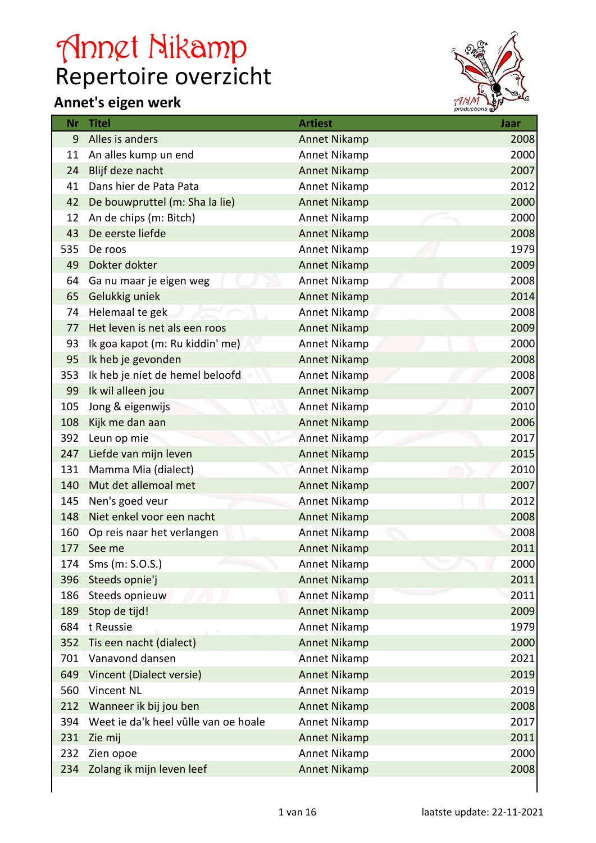## Repertoire overzicht Annet Nikamp

## **Annet's eigen werk**



| Nr  | <b>Titel</b>                         | <b>Artiest</b>      | Jaar |
|-----|--------------------------------------|---------------------|------|
| 9   | Alles is anders                      | <b>Annet Nikamp</b> | 2008 |
| 11  | An alles kump un end                 | Annet Nikamp        | 2000 |
| 24  | Blijf deze nacht                     | <b>Annet Nikamp</b> | 2007 |
| 41  | Dans hier de Pata Pata               | Annet Nikamp        | 2012 |
| 42  | De bouwpruttel (m: Sha la lie)       | <b>Annet Nikamp</b> | 2000 |
| 12  | An de chips (m: Bitch)               | <b>Annet Nikamp</b> | 2000 |
| 43  | De eerste liefde                     | <b>Annet Nikamp</b> | 2008 |
| 535 | De roos                              | Annet Nikamp        | 1979 |
| 49  | Dokter dokter                        | <b>Annet Nikamp</b> | 2009 |
| 64  | Ga nu maar je eigen weg              | Annet Nikamp        | 2008 |
| 65  | Gelukkig uniek                       | <b>Annet Nikamp</b> | 2014 |
| 74  | Helemaal te gek                      | Annet Nikamp        | 2008 |
| 77  | Het leven is net als een roos        | <b>Annet Nikamp</b> | 2009 |
| 93  | Ik goa kapot (m: Ru kiddin' me)      | Annet Nikamp        | 2000 |
| 95  | Ik heb je gevonden                   | <b>Annet Nikamp</b> | 2008 |
| 353 | Ik heb je niet de hemel beloofd      | Annet Nikamp        | 2008 |
| 99  | Ik wil alleen jou                    | <b>Annet Nikamp</b> | 2007 |
| 105 | Jong & eigenwijs                     | <b>Annet Nikamp</b> | 2010 |
| 108 | Kijk me dan aan                      | <b>Annet Nikamp</b> | 2006 |
| 392 | Leun op mie                          | Annet Nikamp        | 2017 |
| 247 | Liefde van mijn leven                | <b>Annet Nikamp</b> | 2015 |
| 131 | Mamma Mia (dialect)                  | <b>Annet Nikamp</b> | 2010 |
| 140 | Mut det allemoal met                 | <b>Annet Nikamp</b> | 2007 |
| 145 | Nen's goed veur                      | Annet Nikamp        | 2012 |
| 148 | Niet enkel voor een nacht            | <b>Annet Nikamp</b> | 2008 |
| 160 | Op reis naar het verlangen           | <b>Annet Nikamp</b> | 2008 |
| 177 | See me                               | <b>Annet Nikamp</b> | 2011 |
| 174 | $Sms$ (m: $S.O.S.$ )                 | Annet Nikamp        | 2000 |
| 396 | Steeds opnie'j                       | <b>Annet Nikamp</b> | 2011 |
| 186 | Steeds opnieuw                       | <b>Annet Nikamp</b> | 2011 |
| 189 | Stop de tijd!                        | <b>Annet Nikamp</b> | 2009 |
| 684 | t Reussie                            | <b>Annet Nikamp</b> | 1979 |
| 352 | Tis een nacht (dialect)              | <b>Annet Nikamp</b> | 2000 |
| 701 | Vanavond dansen                      | <b>Annet Nikamp</b> | 2021 |
| 649 | Vincent (Dialect versie)             | <b>Annet Nikamp</b> | 2019 |
| 560 | Vincent NL                           | Annet Nikamp        | 2019 |
| 212 | Wanneer ik bij jou ben               | <b>Annet Nikamp</b> | 2008 |
| 394 | Weet ie da'k heel vûlle van oe hoale | Annet Nikamp        | 2017 |
| 231 | Zie mij                              | <b>Annet Nikamp</b> | 2011 |
| 232 | Zien opoe                            | Annet Nikamp        | 2000 |
| 234 | Zolang ik mijn leven leef            | <b>Annet Nikamp</b> | 2008 |
|     |                                      |                     |      |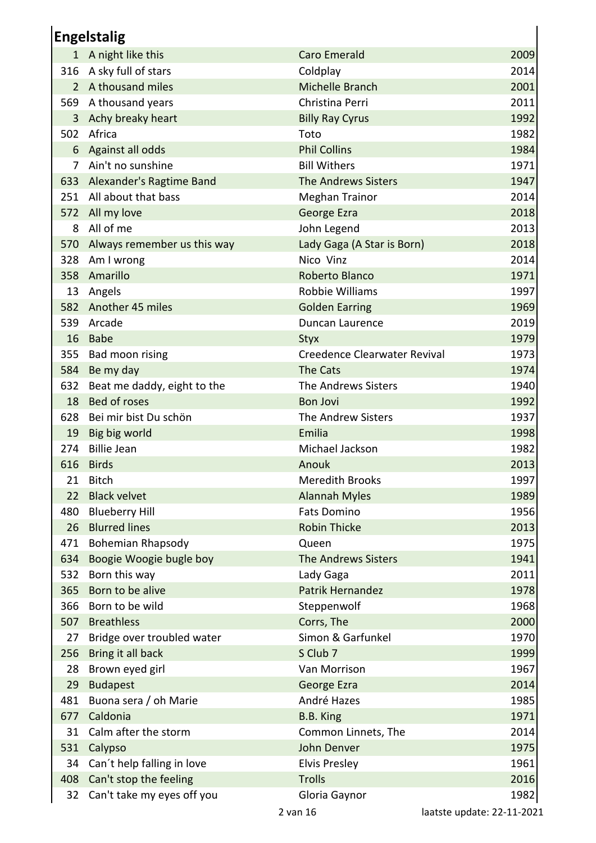| <b>Engelstalig</b> |                              |                              |      |
|--------------------|------------------------------|------------------------------|------|
|                    | 1 A night like this          | <b>Caro Emerald</b>          | 2009 |
|                    | 316 A sky full of stars      | Coldplay                     | 2014 |
| $\overline{2}$     | A thousand miles             | Michelle Branch              | 2001 |
|                    | 569 A thousand years         | Christina Perri              | 2011 |
|                    | 3 Achy breaky heart          | <b>Billy Ray Cyrus</b>       | 1992 |
| 502                | Africa                       | Toto                         | 1982 |
|                    | 6 Against all odds           | <b>Phil Collins</b>          | 1984 |
| 7                  | Ain't no sunshine            | <b>Bill Withers</b>          | 1971 |
|                    | 633 Alexander's Ragtime Band | <b>The Andrews Sisters</b>   | 1947 |
|                    | 251 All about that bass      | <b>Meghan Trainor</b>        | 2014 |
|                    | 572 All my love              | George Ezra                  | 2018 |
| 8                  | All of me                    | John Legend                  | 2013 |
| 570                | Always remember us this way  | Lady Gaga (A Star is Born)   | 2018 |
|                    | 328 Am I wrong               | Nico Vinz                    | 2014 |
| 358                | Amarillo                     | Roberto Blanco               | 1971 |
| 13                 | Angels                       | Robbie Williams              | 1997 |
|                    | 582 Another 45 miles         | <b>Golden Earring</b>        | 1969 |
| 539                | Arcade                       | Duncan Laurence              | 2019 |
| 16                 | Babe                         | <b>Styx</b>                  | 1979 |
| 355                | Bad moon rising              | Creedence Clearwater Revival | 1973 |
| 584                | Be my day                    | The Cats                     | 1974 |
| 632                | Beat me daddy, eight to the  | The Andrews Sisters          | 1940 |
| 18                 | Bed of roses                 | <b>Bon Jovi</b>              | 1992 |
| 628                | Bei mir bist Du schön        | The Andrew Sisters           | 1937 |
| 19                 | Big big world                | Emilia                       | 1998 |
| 274                | <b>Billie Jean</b>           | Michael Jackson              | 1982 |
|                    | 616 Birds                    | Anouk                        | 2013 |
| 21                 | <b>Bitch</b>                 | <b>Meredith Brooks</b>       | 1997 |
| 22                 | <b>Black velvet</b>          | <b>Alannah Myles</b>         | 1989 |
| 480                | <b>Blueberry Hill</b>        | <b>Fats Domino</b>           | 1956 |
| 26                 | <b>Blurred lines</b>         | <b>Robin Thicke</b>          | 2013 |
| 471                | <b>Bohemian Rhapsody</b>     | Queen                        | 1975 |
| 634                | Boogie Woogie bugle boy      | <b>The Andrews Sisters</b>   | 1941 |
| 532                | Born this way                | Lady Gaga                    | 2011 |
| 365                | Born to be alive             | <b>Patrik Hernandez</b>      | 1978 |
| 366                | Born to be wild              | Steppenwolf                  | 1968 |
| 507                | <b>Breathless</b>            | Corrs, The                   | 2000 |
| 27                 | Bridge over troubled water   | Simon & Garfunkel            | 1970 |
| 256                | Bring it all back            | S Club 7                     | 1999 |
| 28                 | Brown eyed girl              | Van Morrison                 | 1967 |
| 29                 | <b>Budapest</b>              | George Ezra                  | 2014 |
| 481                | Buona sera / oh Marie        | André Hazes                  | 1985 |
| 677                | Caldonia                     | B.B. King                    | 1971 |
| 31                 | Calm after the storm         | Common Linnets, The          | 2014 |
| 531                | Calypso                      | John Denver                  | 1975 |
| 34                 | Can't help falling in love   | <b>Elvis Presley</b>         | 1961 |
| 408                | Can't stop the feeling       | <b>Trolls</b>                | 2016 |
| 32                 | Can't take my eyes off you   | Gloria Gaynor                | 1982 |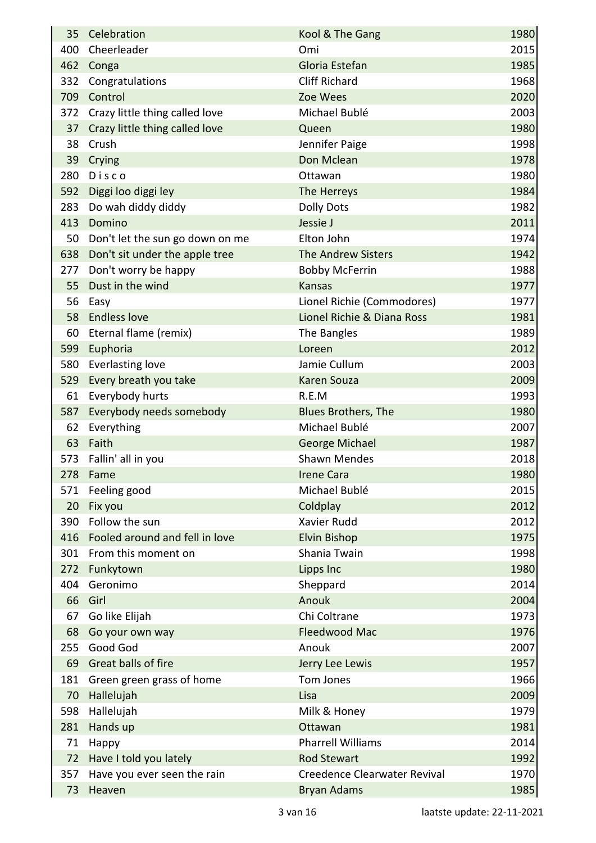| 35  | Celebration                        | Kool & The Gang                     | 1980 |
|-----|------------------------------------|-------------------------------------|------|
| 400 | Cheerleader                        | Omi                                 | 2015 |
|     | 462 Conga                          | Gloria Estefan                      | 1985 |
| 332 | Congratulations                    | <b>Cliff Richard</b>                | 1968 |
|     | 709 Control                        | Zoe Wees                            | 2020 |
|     | 372 Crazy little thing called love | Michael Bublé                       | 2003 |
| 37  | Crazy little thing called love     | Queen                               | 1980 |
| 38  | Crush                              | Jennifer Paige                      | 1998 |
| 39  | Crying                             | Don Mclean                          | 1978 |
| 280 | Disco                              | Ottawan                             | 1980 |
| 592 | Diggi loo diggi ley                | The Herreys                         | 1984 |
| 283 | Do wah diddy diddy                 | <b>Dolly Dots</b>                   | 1982 |
| 413 | Domino                             | Jessie J                            | 2011 |
| 50  | Don't let the sun go down on me    | Elton John                          | 1974 |
|     | 638 Don't sit under the apple tree | <b>The Andrew Sisters</b>           | 1942 |
| 277 | Don't worry be happy               | <b>Bobby McFerrin</b>               | 1988 |
| 55  | Dust in the wind                   | <b>Kansas</b>                       | 1977 |
| 56  | Easy                               | Lionel Richie (Commodores)          | 1977 |
| 58  | <b>Endless love</b>                | Lionel Richie & Diana Ross          | 1981 |
| 60  | Eternal flame (remix)              | The Bangles                         | 1989 |
| 599 | Euphoria                           | Loreen                              | 2012 |
| 580 | <b>Everlasting love</b>            | Jamie Cullum                        | 2003 |
| 529 | Every breath you take              | <b>Karen Souza</b>                  | 2009 |
| 61  | Everybody hurts                    | R.E.M                               | 1993 |
| 587 | Everybody needs somebody           | <b>Blues Brothers, The</b>          | 1980 |
| 62  | Everything                         | Michael Bublé                       | 2007 |
| 63  | Faith                              | George Michael                      | 1987 |
| 573 | Fallin' all in you                 | <b>Shawn Mendes</b>                 | 2018 |
| 278 | Fame                               | <b>Irene Cara</b>                   | 1980 |
| 571 | Feeling good                       | Michael Bublé                       | 2015 |
| 20  | Fix you                            | Coldplay                            | 2012 |
| 390 | Follow the sun                     | Xavier Rudd                         | 2012 |
|     | 416 Fooled around and fell in love | <b>Elvin Bishop</b>                 | 1975 |
| 301 | From this moment on                | Shania Twain                        | 1998 |
| 272 | Funkytown                          | Lipps Inc                           | 1980 |
| 404 | Geronimo                           | Sheppard                            | 2014 |
| 66  | Girl                               | Anouk                               | 2004 |
| 67  | Go like Elijah                     | Chi Coltrane                        | 1973 |
| 68  | Go your own way                    | Fleedwood Mac                       | 1976 |
| 255 | Good God                           | Anouk                               | 2007 |
| 69  | Great balls of fire                | Jerry Lee Lewis                     | 1957 |
| 181 | Green green grass of home          | Tom Jones                           | 1966 |
| 70  | Hallelujah                         | Lisa                                | 2009 |
| 598 | Hallelujah                         | Milk & Honey                        | 1979 |
| 281 | Hands up                           | Ottawan                             | 1981 |
| 71  | Happy                              | <b>Pharrell Williams</b>            | 2014 |
| 72  | Have I told you lately             | <b>Rod Stewart</b>                  | 1992 |
| 357 | Have you ever seen the rain        | <b>Creedence Clearwater Revival</b> | 1970 |
| 73  | Heaven                             | <b>Bryan Adams</b>                  | 1985 |
|     |                                    |                                     |      |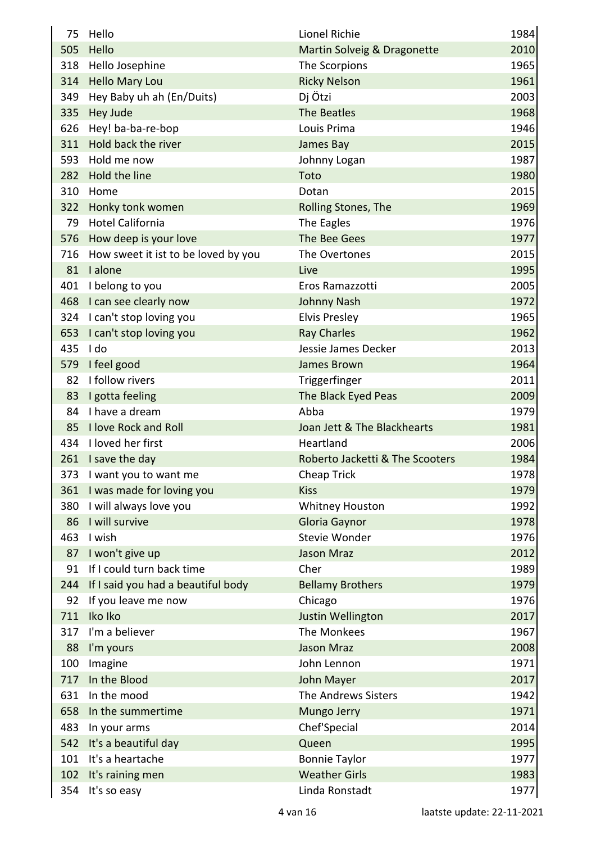| 75  | Hello                                   | Lionel Richie                   | 1984 |
|-----|-----------------------------------------|---------------------------------|------|
| 505 | Hello                                   | Martin Solveig & Dragonette     | 2010 |
| 318 | Hello Josephine                         | The Scorpions                   | 1965 |
|     | 314 Hello Mary Lou                      | <b>Ricky Nelson</b>             | 1961 |
|     | 349 Hey Baby uh ah (En/Duits)           | Dj Ötzi                         | 2003 |
|     | 335 Hey Jude                            | The Beatles                     | 1968 |
|     | 626 Hey! ba-ba-re-bop                   | Louis Prima                     | 1946 |
|     | 311 Hold back the river                 | James Bay                       | 2015 |
|     | 593 Hold me now                         | Johnny Logan                    | 1987 |
|     | 282 Hold the line                       | Toto                            | 1980 |
|     | 310 Home                                | Dotan                           | 2015 |
|     | 322 Honky tonk women                    | Rolling Stones, The             | 1969 |
| 79  | <b>Hotel California</b>                 | The Eagles                      | 1976 |
|     | 576 How deep is your love               | The Bee Gees                    | 1977 |
|     | 716 How sweet it ist to be loved by you | The Overtones                   | 2015 |
|     | 81 lalone                               | Live                            | 1995 |
|     | 401 I belong to you                     | Eros Ramazzotti                 | 2005 |
|     | 468 I can see clearly now               | <b>Johnny Nash</b>              | 1972 |
|     | 324 I can't stop loving you             | <b>Elvis Presley</b>            | 1965 |
|     | 653 I can't stop loving you             | <b>Ray Charles</b>              | 1962 |
|     | 435 I do                                | Jessie James Decker             | 2013 |
| 579 | I feel good                             | James Brown                     | 1964 |
| 82  | I follow rivers                         | Triggerfinger                   | 2011 |
|     | 83 I gotta feeling                      | The Black Eyed Peas             | 2009 |
|     | 84 I have a dream                       | Abba                            | 1979 |
|     | 85 I love Rock and Roll                 | Joan Jett & The Blackhearts     | 1981 |
|     | 434 I loved her first                   | Heartland                       | 2006 |
|     | 261 I save the day                      | Roberto Jacketti & The Scooters | 1984 |
|     | 373 I want you to want me               | Cheap Trick                     | 1978 |
|     | 361 I was made for loving you           | <b>Kiss</b>                     | 1979 |
|     | 380 I will always love you              | <b>Whitney Houston</b>          | 1992 |
|     | 86 I will survive                       | Gloria Gaynor                   | 1978 |
| 463 | I wish                                  | Stevie Wonder                   | 1976 |
|     | 87 I won't give up                      | <b>Jason Mraz</b>               | 2012 |
| 91  | If I could turn back time               | Cher                            | 1989 |
| 244 | If I said you had a beautiful body      | <b>Bellamy Brothers</b>         | 1979 |
| 92  | If you leave me now                     | Chicago                         | 1976 |
| 711 | Iko Iko                                 | Justin Wellington               | 2017 |
| 317 | I'm a believer                          | The Monkees                     | 1967 |
| 88  | I'm yours                               | <b>Jason Mraz</b>               | 2008 |
| 100 | Imagine                                 | John Lennon                     | 1971 |
| 717 | In the Blood                            | John Mayer                      | 2017 |
| 631 | In the mood                             | The Andrews Sisters             | 1942 |
| 658 | In the summertime                       | Mungo Jerry                     | 1971 |
| 483 | In your arms                            | Chef'Special                    | 2014 |
| 542 | It's a beautiful day                    | Queen                           | 1995 |
| 101 | It's a heartache                        | <b>Bonnie Taylor</b>            | 1977 |
|     | 102 It's raining men                    | <b>Weather Girls</b>            | 1983 |
| 354 | It's so easy                            | Linda Ronstadt                  | 1977 |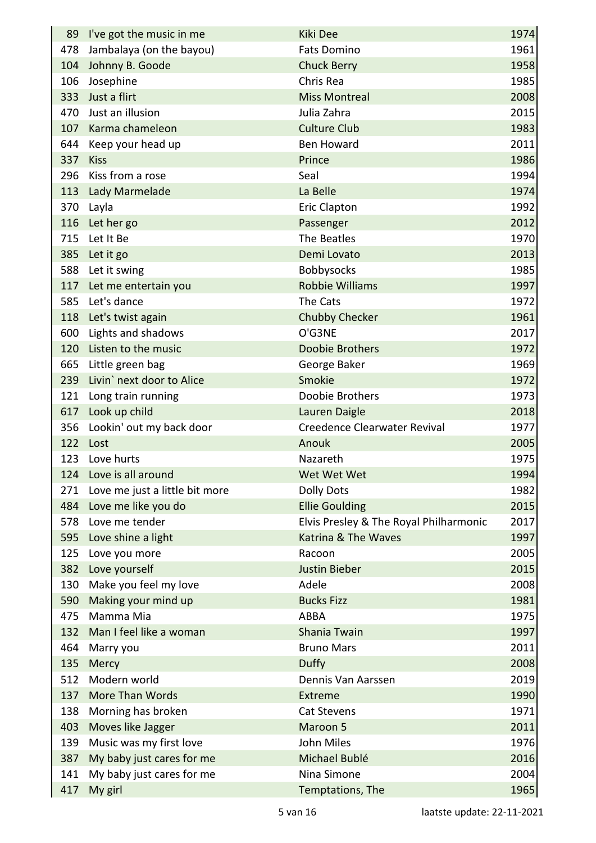|     | 89 I've got the music in me    | <b>Kiki Dee</b>                        | 1974 |
|-----|--------------------------------|----------------------------------------|------|
|     | 478 Jambalaya (on the bayou)   | <b>Fats Domino</b>                     | 1961 |
| 104 | Johnny B. Goode                | <b>Chuck Berry</b>                     | 1958 |
| 106 | Josephine                      | Chris Rea                              | 1985 |
| 333 | Just a flirt                   | <b>Miss Montreal</b>                   | 2008 |
|     | 470 Just an illusion           | Julia Zahra                            | 2015 |
|     | 107 Karma chameleon            | <b>Culture Club</b>                    | 1983 |
|     | 644 Keep your head up          | <b>Ben Howard</b>                      | 2011 |
|     | 337 Kiss                       | Prince                                 | 1986 |
|     | 296 Kiss from a rose           | Seal                                   | 1994 |
|     | 113 Lady Marmelade             | La Belle                               | 1974 |
|     | 370 Layla                      | <b>Eric Clapton</b>                    | 1992 |
|     | 116 Let her go                 | Passenger                              | 2012 |
|     | 715 Let It Be                  | The Beatles                            | 1970 |
|     | 385 Let it go                  | Demi Lovato                            | 2013 |
|     | 588 Let it swing               | <b>Bobbysocks</b>                      | 1985 |
|     | 117 Let me entertain you       | <b>Robbie Williams</b>                 | 1997 |
|     | 585 Let's dance                | The Cats                               | 1972 |
|     | 118 Let's twist again          | <b>Chubby Checker</b>                  | 1961 |
|     | 600 Lights and shadows         | O'G3NE                                 | 2017 |
|     | 120 Listen to the music        | <b>Doobie Brothers</b>                 | 1972 |
|     | 665 Little green bag           | George Baker                           | 1969 |
|     | 239 Livin' next door to Alice  | Smokie                                 | 1972 |
|     | 121 Long train running         | Doobie Brothers                        | 1973 |
|     | 617 Look up child              | Lauren Daigle                          | 2018 |
|     | 356 Lookin' out my back door   | <b>Creedence Clearwater Revival</b>    | 1977 |
|     | 122 Lost                       | Anouk                                  | 2005 |
|     | 123 Love hurts                 | Nazareth                               | 1975 |
|     | 124 Love is all around         | Wet Wet Wet                            | 1994 |
| 271 | Love me just a little bit more | <b>Dolly Dots</b>                      | 1982 |
| 484 | Love me like you do            | <b>Ellie Goulding</b>                  | 2015 |
| 578 | Love me tender                 | Elvis Presley & The Royal Philharmonic | 2017 |
|     | 595 Love shine a light         | Katrina & The Waves                    | 1997 |
| 125 | Love you more                  | Racoon                                 | 2005 |
|     | 382 Love yourself              | <b>Justin Bieber</b>                   | 2015 |
| 130 | Make you feel my love          | Adele                                  | 2008 |
| 590 | Making your mind up            | <b>Bucks Fizz</b>                      | 1981 |
| 475 | Mamma Mia                      | <b>ABBA</b>                            | 1975 |
| 132 | Man I feel like a woman        | Shania Twain                           | 1997 |
| 464 | Marry you                      | <b>Bruno Mars</b>                      | 2011 |
| 135 | Mercy                          | <b>Duffy</b>                           | 2008 |
| 512 | Modern world                   | Dennis Van Aarssen                     | 2019 |
| 137 | <b>More Than Words</b>         | Extreme                                | 1990 |
| 138 | Morning has broken             | <b>Cat Stevens</b>                     | 1971 |
| 403 | Moves like Jagger              | Maroon 5                               | 2011 |
| 139 | Music was my first love        | John Miles                             | 1976 |
| 387 | My baby just cares for me      | Michael Bublé                          | 2016 |
| 141 | My baby just cares for me      | Nina Simone                            | 2004 |
| 417 | My girl                        | Temptations, The                       | 1965 |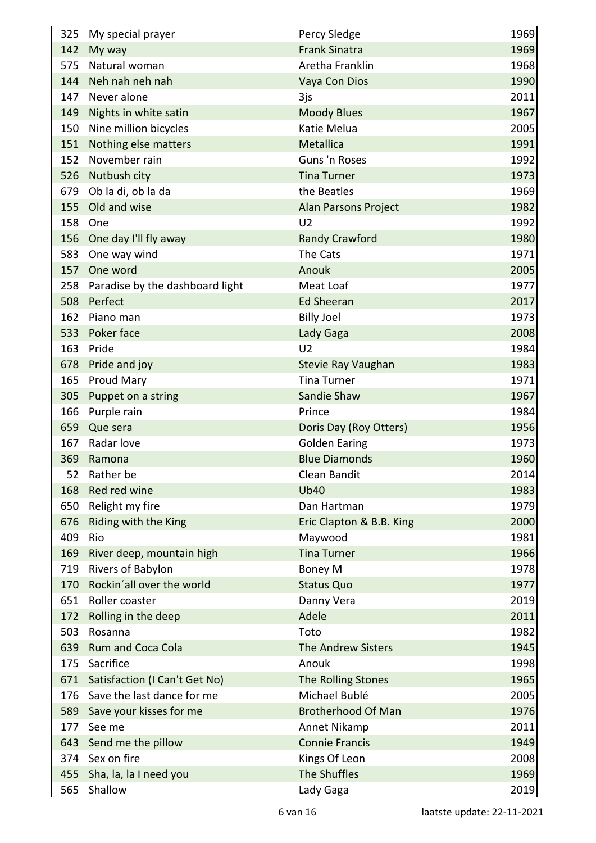|     | 325 My special prayer               | Percy Sledge              | 1969 |
|-----|-------------------------------------|---------------------------|------|
|     | 142 My way                          | <b>Frank Sinatra</b>      | 1969 |
| 575 | Natural woman                       | Aretha Franklin           | 1968 |
|     | 144 Neh nah neh nah                 | Vaya Con Dios             | 1990 |
|     | 147 Never alone                     | 3js                       | 2011 |
|     | 149 Nights in white satin           | <b>Moody Blues</b>        | 1967 |
|     | 150 Nine million bicycles           | Katie Melua               | 2005 |
|     | 151 Nothing else matters            | Metallica                 | 1991 |
| 152 | November rain                       | Guns 'n Roses             | 1992 |
|     | 526 Nutbush city                    | <b>Tina Turner</b>        | 1973 |
|     | 679 Ob la di, ob la da              | the Beatles               | 1969 |
|     | 155 Old and wise                    | Alan Parsons Project      | 1982 |
| 158 | One                                 | U <sub>2</sub>            | 1992 |
|     | 156 One day I'll fly away           | <b>Randy Crawford</b>     | 1980 |
| 583 | One way wind                        | The Cats                  | 1971 |
| 157 | One word                            | Anouk                     | 2005 |
|     | 258 Paradise by the dashboard light | Meat Loaf                 | 1977 |
|     | 508 Perfect                         | <b>Ed Sheeran</b>         | 2017 |
| 162 | Piano man                           | <b>Billy Joel</b>         | 1973 |
|     | 533 Poker face                      | Lady Gaga                 | 2008 |
|     | 163 Pride                           | U <sub>2</sub>            | 1984 |
|     | 678 Pride and joy                   | Stevie Ray Vaughan        | 1983 |
| 165 | <b>Proud Mary</b>                   | <b>Tina Turner</b>        | 1971 |
|     | 305 Puppet on a string              | Sandie Shaw               | 1967 |
|     | 166 Purple rain                     | Prince                    | 1984 |
|     | 659 Que sera                        | Doris Day (Roy Otters)    | 1956 |
| 167 | Radar love                          | <b>Golden Earing</b>      | 1973 |
|     | 369 Ramona                          | <b>Blue Diamonds</b>      | 1960 |
| 52  | Rather be                           | Clean Bandit              | 2014 |
| 168 | Red red wine                        | <b>Ub40</b>               | 1983 |
| 650 | Relight my fire                     | Dan Hartman               | 1979 |
| 676 | Riding with the King                | Eric Clapton & B.B. King  | 2000 |
| 409 | Rio                                 | Maywood                   | 1981 |
| 169 | River deep, mountain high           | <b>Tina Turner</b>        | 1966 |
| 719 | Rivers of Babylon                   | Boney M                   | 1978 |
| 170 | Rockin'all over the world           | <b>Status Quo</b>         | 1977 |
| 651 | Roller coaster                      | Danny Vera                | 2019 |
| 172 | Rolling in the deep                 | Adele                     | 2011 |
| 503 | Rosanna                             | Toto                      | 1982 |
| 639 | Rum and Coca Cola                   | The Andrew Sisters        | 1945 |
| 175 | Sacrifice                           | Anouk                     | 1998 |
| 671 | Satisfaction (I Can't Get No)       | The Rolling Stones        | 1965 |
| 176 | Save the last dance for me          | Michael Bublé             | 2005 |
| 589 | Save your kisses for me             | <b>Brotherhood Of Man</b> | 1976 |
| 177 | See me                              | Annet Nikamp              | 2011 |
| 643 | Send me the pillow                  | <b>Connie Francis</b>     | 1949 |
| 374 | Sex on fire                         | Kings Of Leon             | 2008 |
|     | 455 Sha, la, la I need you          | The Shuffles              | 1969 |
| 565 | Shallow                             | Lady Gaga                 | 2019 |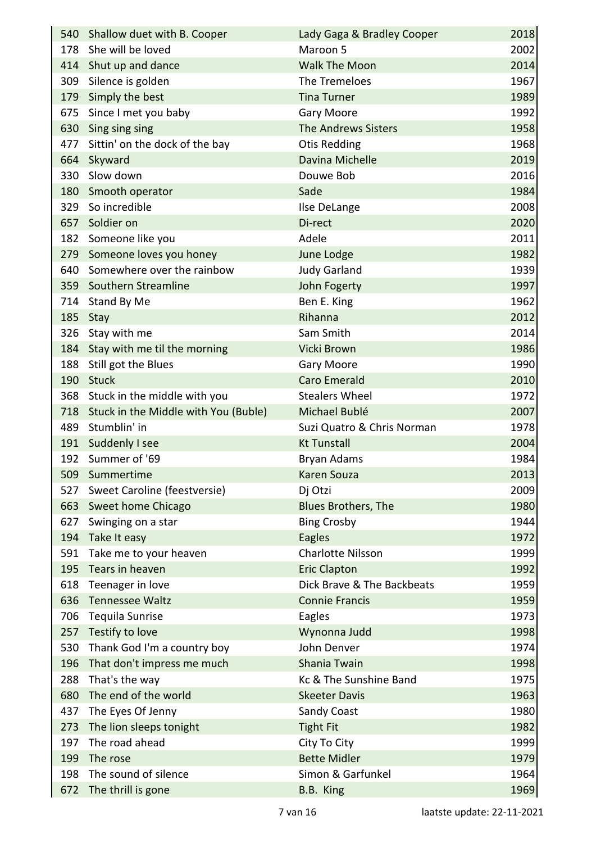|     | 540 Shallow duet with B. Cooper          | Lady Gaga & Bradley Cooper | 2018 |
|-----|------------------------------------------|----------------------------|------|
| 178 | She will be loved                        | Maroon 5                   | 2002 |
| 414 | Shut up and dance                        | <b>Walk The Moon</b>       | 2014 |
| 309 | Silence is golden                        | The Tremeloes              | 1967 |
|     | 179 Simply the best                      | <b>Tina Turner</b>         | 1989 |
| 675 | Since I met you baby                     | Gary Moore                 | 1992 |
|     | 630 Sing sing sing                       | <b>The Andrews Sisters</b> | 1958 |
|     | 477 Sittin' on the dock of the bay       | <b>Otis Redding</b>        | 1968 |
| 664 | Skyward                                  | Davina Michelle            | 2019 |
|     | 330 Slow down                            | Douwe Bob                  | 2016 |
|     | 180 Smooth operator                      | Sade                       | 1984 |
|     | 329 So incredible                        | Ilse DeLange               | 2008 |
| 657 | Soldier on                               | Di-rect                    | 2020 |
|     | 182 Someone like you                     | Adele                      | 2011 |
|     | 279 Someone loves you honey              | June Lodge                 | 1982 |
| 640 | Somewhere over the rainbow               | <b>Judy Garland</b>        | 1939 |
|     | 359 Southern Streamline                  | John Fogerty               | 1997 |
|     | 714 Stand By Me                          | Ben E. King                | 1962 |
|     | 185 Stay                                 | Rihanna                    | 2012 |
|     | 326 Stay with me                         | Sam Smith                  | 2014 |
|     | 184 Stay with me til the morning         | Vicki Brown                | 1986 |
| 188 | Still got the Blues                      | Gary Moore                 | 1990 |
|     | 190 Stuck                                | <b>Caro Emerald</b>        | 2010 |
|     | 368 Stuck in the middle with you         | <b>Stealers Wheel</b>      | 1972 |
|     | 718 Stuck in the Middle with You (Buble) | Michael Bublé              | 2007 |
| 489 | Stumblin' in                             | Suzi Quatro & Chris Norman | 1978 |
|     | 191 Suddenly I see                       | <b>Kt Tunstall</b>         | 2004 |
|     | 192 Summer of '69                        | <b>Bryan Adams</b>         | 1984 |
|     | 509 Summertime                           | <b>Karen Souza</b>         | 2013 |
|     | 527 Sweet Caroline (feestversie)         | Dj Otzi                    | 2009 |
|     | 663 Sweet home Chicago                   | <b>Blues Brothers, The</b> | 1980 |
| 627 | Swinging on a star                       | <b>Bing Crosby</b>         | 1944 |
|     | 194 Take It easy                         | <b>Eagles</b>              | 1972 |
| 591 | Take me to your heaven                   | <b>Charlotte Nilsson</b>   | 1999 |
| 195 | Tears in heaven                          | <b>Eric Clapton</b>        | 1992 |
| 618 | Teenager in love                         | Dick Brave & The Backbeats | 1959 |
| 636 | <b>Tennessee Waltz</b>                   | <b>Connie Francis</b>      | 1959 |
| 706 | Tequila Sunrise                          | Eagles                     | 1973 |
|     | 257 Testify to love                      | Wynonna Judd               | 1998 |
| 530 | Thank God I'm a country boy              | John Denver                | 1974 |
|     | 196 That don't impress me much           | Shania Twain               | 1998 |
| 288 | That's the way                           | Kc & The Sunshine Band     | 1975 |
| 680 | The end of the world                     | <b>Skeeter Davis</b>       | 1963 |
| 437 | The Eyes Of Jenny                        | Sandy Coast                | 1980 |
| 273 | The lion sleeps tonight                  | <b>Tight Fit</b>           | 1982 |
| 197 | The road ahead                           | City To City               | 1999 |
| 199 | The rose                                 | <b>Bette Midler</b>        | 1979 |
| 198 | The sound of silence                     | Simon & Garfunkel          | 1964 |
| 672 | The thrill is gone                       | B.B. King                  | 1969 |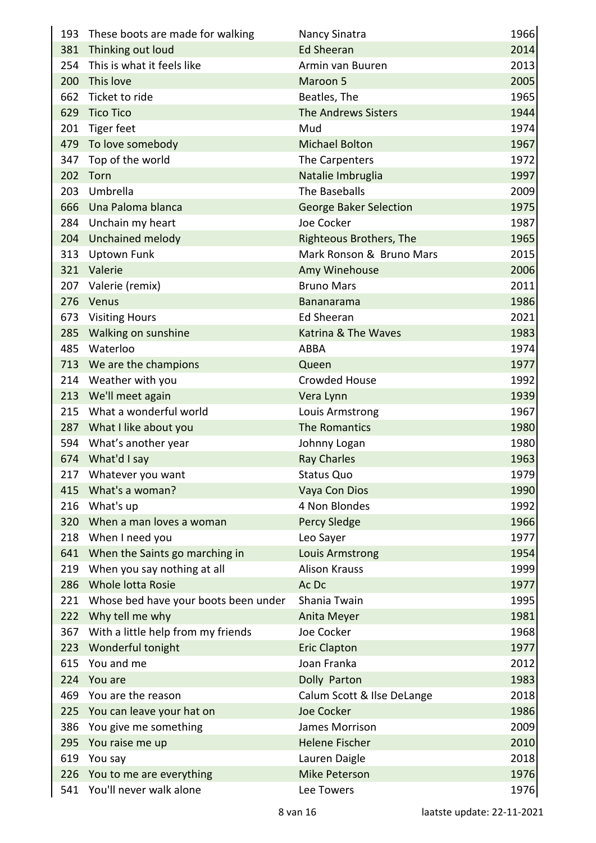|     | 193 These boots are made for walking     | Nancy Sinatra                  | 1966 |
|-----|------------------------------------------|--------------------------------|------|
|     | 381 Thinking out loud                    | <b>Ed Sheeran</b>              | 2014 |
| 254 | This is what it feels like               | Armin van Buuren               | 2013 |
|     | 200 This love                            | Maroon 5                       | 2005 |
|     | 662 Ticket to ride                       | Beatles, The                   | 1965 |
|     | 629 Tico Tico                            | <b>The Andrews Sisters</b>     | 1944 |
| 201 | Tiger feet                               | Mud                            | 1974 |
|     | 479 To love somebody                     | <b>Michael Bolton</b>          | 1967 |
|     | 347 Top of the world                     | The Carpenters                 | 1972 |
| 202 | Torn                                     | Natalie Imbruglia              | 1997 |
|     | 203 Umbrella                             | The Baseballs                  | 2009 |
|     | 666 Una Paloma blanca                    | <b>George Baker Selection</b>  | 1975 |
|     | 284 Unchain my heart                     | Joe Cocker                     | 1987 |
|     | 204 Unchained melody                     | <b>Righteous Brothers, The</b> | 1965 |
|     | 313 Uptown Funk                          | Mark Ronson & Bruno Mars       | 2015 |
|     | 321 Valerie                              | Amy Winehouse                  | 2006 |
|     | 207 Valerie (remix)                      | <b>Bruno Mars</b>              | 2011 |
|     | 276 Venus                                | <b>Bananarama</b>              | 1986 |
|     | 673 Visiting Hours                       | <b>Ed Sheeran</b>              | 2021 |
|     | 285 Walking on sunshine                  | Katrina & The Waves            | 1983 |
| 485 | Waterloo                                 | <b>ABBA</b>                    | 1974 |
|     | 713 We are the champions                 | Queen                          | 1977 |
|     | 214 Weather with you                     | <b>Crowded House</b>           | 1992 |
|     | 213 We'll meet again                     | Vera Lynn                      | 1939 |
|     | 215 What a wonderful world               | Louis Armstrong                | 1967 |
|     | 287 What I like about you                | The Romantics                  | 1980 |
|     | 594 What's another year                  | Johnny Logan                   | 1980 |
|     | 674 What'd I say                         | <b>Ray Charles</b>             | 1963 |
|     | 217 Whatever you want                    | Status Quo                     | 1979 |
|     | 415 What's a woman?                      | Vaya Con Dios                  | 1990 |
|     | 216 What's up                            | 4 Non Blondes                  | 1992 |
|     | 320 When a man loves a woman             | <b>Percy Sledge</b>            | 1966 |
|     | 218 When I need you                      | Leo Sayer                      | 1977 |
|     | 641 When the Saints go marching in       | Louis Armstrong                | 1954 |
|     | 219 When you say nothing at all          | <b>Alison Krauss</b>           | 1999 |
|     | 286 Whole lotta Rosie                    | Ac Dc                          | 1977 |
|     | 221 Whose bed have your boots been under | Shania Twain                   | 1995 |
|     | 222 Why tell me why                      | Anita Meyer                    | 1981 |
|     | 367 With a little help from my friends   | Joe Cocker                     | 1968 |
| 223 | Wonderful tonight                        | <b>Eric Clapton</b>            | 1977 |
| 615 | You and me                               | Joan Franka                    | 2012 |
| 224 | You are                                  | Dolly Parton                   | 1983 |
|     | 469 You are the reason                   | Calum Scott & Ilse DeLange     | 2018 |
|     | 225 You can leave your hat on            | <b>Joe Cocker</b>              | 1986 |
|     | 386 You give me something                | James Morrison                 | 2009 |
| 295 | You raise me up                          | <b>Helene Fischer</b>          | 2010 |
| 619 | You say                                  | Lauren Daigle                  | 2018 |
|     | 226 You to me are everything             | <b>Mike Peterson</b>           | 1976 |
| 541 | You'll never walk alone                  | Lee Towers                     | 1976 |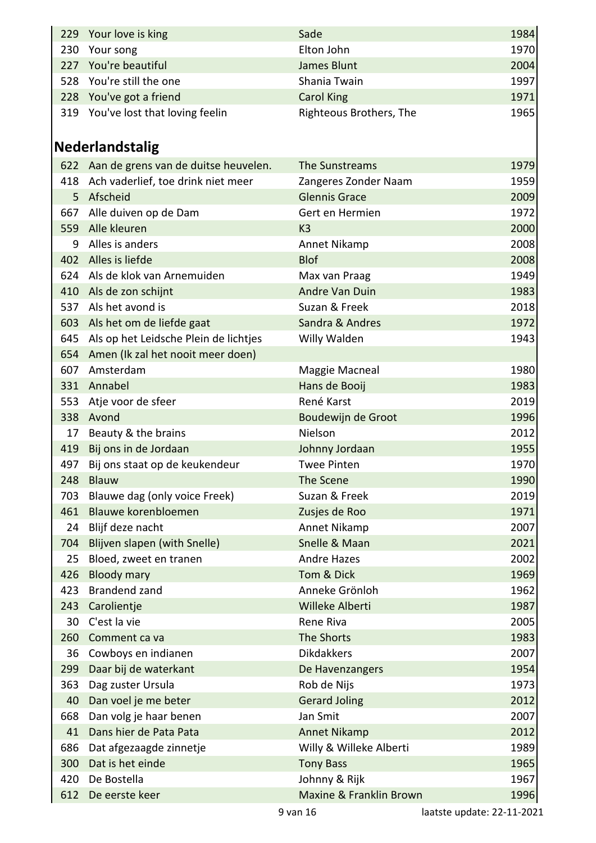|                 | 229 Your love is king                     | Sade                    | 1984 |
|-----------------|-------------------------------------------|-------------------------|------|
| 230             | Your song                                 | Elton John              | 1970 |
|                 | 227 You're beautiful                      | <b>James Blunt</b>      | 2004 |
|                 | 528 You're still the one                  | Shania Twain            | 1997 |
|                 | 228 You've got a friend                   | <b>Carol King</b>       | 1971 |
|                 | 319 You've lost that loving feelin        | Righteous Brothers, The | 1965 |
|                 |                                           |                         |      |
|                 | <b>Nederlandstalig</b>                    |                         |      |
|                 | 622 Aan de grens van de duitse heuvelen.  | The Sunstreams          | 1979 |
|                 | 418 Ach vaderlief, toe drink niet meer    | Zangeres Zonder Naam    | 1959 |
| 5               | Afscheid                                  | <b>Glennis Grace</b>    | 2009 |
|                 | 667 Alle duiven op de Dam                 | Gert en Hermien         | 1972 |
|                 | 559 Alle kleuren                          | K <sub>3</sub>          | 2000 |
| 9               | Alles is anders                           | Annet Nikamp            | 2008 |
|                 | 402 Alles is liefde                       | <b>Blof</b>             | 2008 |
|                 | 624 Als de klok van Arnemuiden            | Max van Praag           | 1949 |
|                 | 410 Als de zon schijnt                    | Andre Van Duin          | 1983 |
|                 | 537 Als het avond is                      | Suzan & Freek           | 2018 |
|                 | 603 Als het om de liefde gaat             | Sandra & Andres         | 1972 |
|                 | 645 Als op het Leidsche Plein de lichtjes | Willy Walden            | 1943 |
|                 | 654 Amen (Ik zal het nooit meer doen)     |                         |      |
| 607             | Amsterdam                                 | Maggie Macneal          | 1980 |
|                 | 331 Annabel                               | Hans de Booij           | 1983 |
|                 | 553 Atje voor de sfeer                    | René Karst              | 2019 |
|                 | 338 Avond                                 | Boudewijn de Groot      | 1996 |
| 17 <sup>1</sup> | Beauty & the brains                       | Nielson                 | 2012 |
| 419             | Bij ons in de Jordaan                     | Johnny Jordaan          | 1955 |
| 497             | Bij ons staat op de keukendeur            | <b>Twee Pinten</b>      | 1970 |
| 248             | Blauw                                     | The Scene               | 1990 |
| 703             | Blauwe dag (only voice Freek)             | Suzan & Freek           | 2019 |
| 461             | Blauwe korenbloemen                       | Zusjes de Roo           | 1971 |
| 24              | Blijf deze nacht                          | Annet Nikamp            | 2007 |
| 704             | Blijven slapen (with Snelle)              | Snelle & Maan           | 2021 |
| 25              | Bloed, zweet en tranen                    | <b>Andre Hazes</b>      | 2002 |
| 426             | <b>Bloody mary</b>                        | Tom & Dick              | 1969 |
| 423             | Brandend zand                             | Anneke Grönloh          | 1962 |
| 243             | Carolientje                               | Willeke Alberti         | 1987 |
| 30              | C'est la vie                              | Rene Riva               | 2005 |
| 260             | Comment ca va                             | The Shorts              | 1983 |
|                 | 36 Cowboys en indianen                    | <b>Dikdakkers</b>       | 2007 |
| 299             | Daar bij de waterkant                     | De Havenzangers         | 1954 |
| 363             | Dag zuster Ursula                         | Rob de Nijs             | 1973 |
| 40              | Dan voel je me beter                      | <b>Gerard Joling</b>    | 2012 |
| 668             | Dan volg je haar benen                    | Jan Smit                | 2007 |
| 41              | Dans hier de Pata Pata                    | <b>Annet Nikamp</b>     | 2012 |
| 686             | Dat afgezaagde zinnetje                   | Willy & Willeke Alberti | 1989 |
| 300             | Dat is het einde                          | <b>Tony Bass</b>        | 1965 |
| 420             | De Bostella                               | Johnny & Rijk           | 1967 |
| 612             | De eerste keer                            | Maxine & Franklin Brown | 1996 |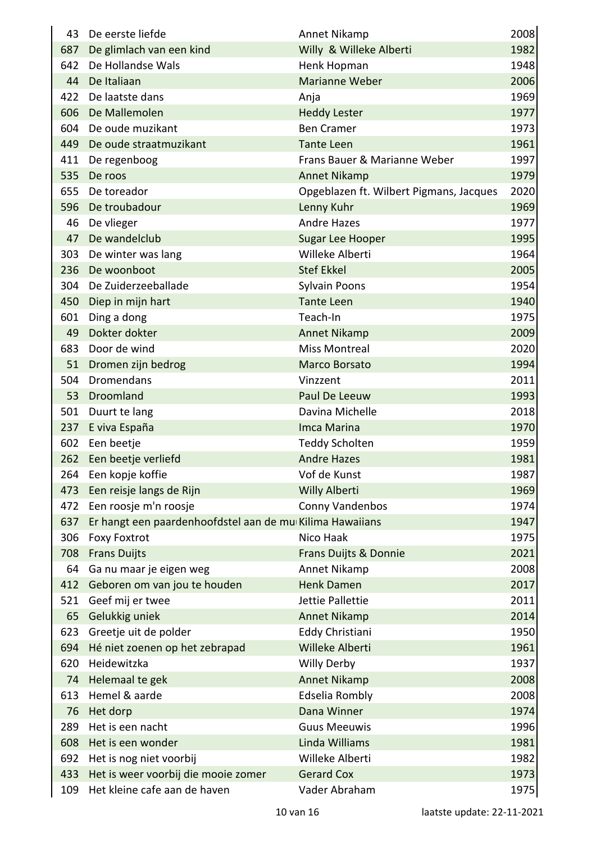| 43  | De eerste liefde                                         | Annet Nikamp                            | 2008 |
|-----|----------------------------------------------------------|-----------------------------------------|------|
| 687 | De glimlach van een kind                                 | Willy & Willeke Alberti                 | 1982 |
| 642 | De Hollandse Wals                                        | Henk Hopman                             | 1948 |
| 44  | De Italiaan                                              | <b>Marianne Weber</b>                   | 2006 |
| 422 | De laatste dans                                          | Anja                                    | 1969 |
| 606 | De Mallemolen                                            | <b>Heddy Lester</b>                     | 1977 |
| 604 | De oude muzikant                                         | <b>Ben Cramer</b>                       | 1973 |
| 449 | De oude straatmuzikant                                   | <b>Tante Leen</b>                       | 1961 |
| 411 | De regenboog                                             | Frans Bauer & Marianne Weber            | 1997 |
| 535 | De roos                                                  | <b>Annet Nikamp</b>                     | 1979 |
| 655 | De toreador                                              | Opgeblazen ft. Wilbert Pigmans, Jacques | 2020 |
| 596 | De troubadour                                            | Lenny Kuhr                              | 1969 |
| 46  | De vlieger                                               | <b>Andre Hazes</b>                      | 1977 |
| 47  | De wandelclub                                            | Sugar Lee Hooper                        | 1995 |
| 303 | De winter was lang                                       | Willeke Alberti                         | 1964 |
| 236 | De woonboot                                              | <b>Stef Ekkel</b>                       | 2005 |
| 304 | De Zuiderzeeballade                                      | Sylvain Poons                           | 1954 |
| 450 | Diep in mijn hart                                        | <b>Tante Leen</b>                       | 1940 |
| 601 | Ding a dong                                              | Teach-In                                | 1975 |
| 49  | Dokter dokter                                            | <b>Annet Nikamp</b>                     | 2009 |
| 683 | Door de wind                                             | <b>Miss Montreal</b>                    | 2020 |
| 51  | Dromen zijn bedrog                                       | <b>Marco Borsato</b>                    | 1994 |
| 504 | Dromendans                                               | Vinzzent                                | 2011 |
| 53  | Droomland                                                | Paul De Leeuw                           | 1993 |
| 501 | Duurt te lang                                            | Davina Michelle                         | 2018 |
| 237 | E viva España                                            | Imca Marina                             | 1970 |
| 602 | Een beetje                                               | <b>Teddy Scholten</b>                   | 1959 |
| 262 | Een beetje verliefd                                      | <b>Andre Hazes</b>                      | 1981 |
|     | 264 Een kopje koffie                                     | Vof de Kunst                            | 1987 |
| 473 | Een reisje langs de Rijn                                 | <b>Willy Alberti</b>                    | 1969 |
| 472 | Een roosje m'n roosje                                    | Conny Vandenbos                         | 1974 |
| 637 | Er hangt een paardenhoofdstel aan de mu Kilima Hawaiians |                                         | 1947 |
| 306 | <b>Foxy Foxtrot</b>                                      | Nico Haak                               | 1975 |
| 708 | <b>Frans Duijts</b>                                      | Frans Duijts & Donnie                   | 2021 |
| 64  | Ga nu maar je eigen weg                                  | Annet Nikamp                            | 2008 |
| 412 | Geboren om van jou te houden                             | <b>Henk Damen</b>                       | 2017 |
| 521 | Geef mij er twee                                         | Jettie Pallettie                        | 2011 |
| 65  | Gelukkig uniek                                           | <b>Annet Nikamp</b>                     | 2014 |
| 623 | Greetje uit de polder                                    | Eddy Christiani                         | 1950 |
| 694 | Hé niet zoenen op het zebrapad                           | Willeke Alberti                         | 1961 |
| 620 | Heidewitzka                                              | <b>Willy Derby</b>                      | 1937 |
| 74  | Helemaal te gek                                          | <b>Annet Nikamp</b>                     | 2008 |
| 613 | Hemel & aarde                                            | Edselia Rombly                          | 2008 |
| 76  | Het dorp                                                 | Dana Winner                             | 1974 |
| 289 | Het is een nacht                                         | <b>Guus Meeuwis</b>                     | 1996 |
| 608 | Het is een wonder                                        | Linda Williams                          | 1981 |
| 692 | Het is nog niet voorbij                                  | Willeke Alberti                         | 1982 |
| 433 | Het is weer voorbij die mooie zomer                      | <b>Gerard Cox</b>                       | 1973 |
| 109 | Het kleine cafe aan de haven                             | Vader Abraham                           | 1975 |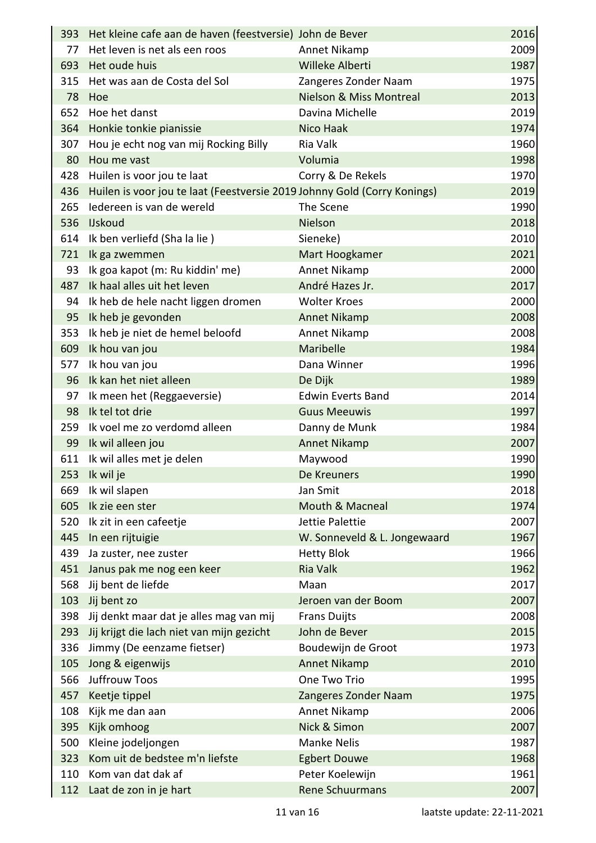|     | 393 Het kleine cafe aan de haven (feestversie) John de Bever             |                                    | 2016 |
|-----|--------------------------------------------------------------------------|------------------------------------|------|
| 77  | Het leven is net als een roos                                            | Annet Nikamp                       | 2009 |
| 693 | Het oude huis                                                            | Willeke Alberti                    | 1987 |
|     | 315 Het was aan de Costa del Sol                                         | Zangeres Zonder Naam               | 1975 |
|     | 78 Hoe                                                                   | <b>Nielson &amp; Miss Montreal</b> | 2013 |
| 652 | Hoe het danst                                                            | Davina Michelle                    | 2019 |
|     | 364 Honkie tonkie pianissie                                              | Nico Haak                          | 1974 |
| 307 | Hou je echt nog van mij Rocking Billy                                    | Ria Valk                           | 1960 |
| 80  | Hou me vast                                                              | Volumia                            | 1998 |
| 428 | Huilen is voor jou te laat                                               | Corry & De Rekels                  | 1970 |
| 436 | Huilen is voor jou te laat (Feestversie 2019 Johnny Gold (Corry Konings) |                                    | 2019 |
|     | 265 ledereen is van de wereld                                            | The Scene                          | 1990 |
|     | 536 IJskoud                                                              | Nielson                            | 2018 |
|     | 614 Ik ben verliefd (Sha la lie)                                         | Sieneke)                           | 2010 |
|     | 721 Ik ga zwemmen                                                        | Mart Hoogkamer                     | 2021 |
| 93  | Ik goa kapot (m: Ru kiddin' me)                                          | Annet Nikamp                       | 2000 |
| 487 | Ik haal alles uit het leven                                              | André Hazes Jr.                    | 2017 |
|     | 94 Ik heb de hele nacht liggen dromen                                    | <b>Wolter Kroes</b>                | 2000 |
| 95  | Ik heb je gevonden                                                       | <b>Annet Nikamp</b>                | 2008 |
|     | 353 Ik heb je niet de hemel beloofd                                      | Annet Nikamp                       | 2008 |
|     | 609 Ik hou van jou                                                       | Maribelle                          | 1984 |
| 577 | Ik hou van jou                                                           | Dana Winner                        | 1996 |
|     | 96 Ik kan het niet alleen                                                | De Dijk                            | 1989 |
| 97  | Ik meen het (Reggaeversie)                                               | <b>Edwin Everts Band</b>           | 2014 |
|     | 98 Ik tel tot drie                                                       | <b>Guus Meeuwis</b>                | 1997 |
|     | 259 Ik voel me zo verdomd alleen                                         | Danny de Munk                      | 1984 |
|     | 99 Ik wil alleen jou                                                     | <b>Annet Nikamp</b>                | 2007 |
|     | 611 Ik wil alles met je delen                                            | Maywood                            | 1990 |
|     | 253 Ik wil je                                                            | De Kreuners                        | 1990 |
| 669 | Ik wil slapen                                                            | Jan Smit                           | 2018 |
| 605 | Ik zie een ster                                                          | <b>Mouth &amp; Macneal</b>         | 1974 |
| 520 | Ik zit in een cafeetje                                                   | Jettie Palettie                    | 2007 |
| 445 | In een rijtuigie                                                         | W. Sonneveld & L. Jongewaard       | 1967 |
| 439 | Ja zuster, nee zuster                                                    | <b>Hetty Blok</b>                  | 1966 |
| 451 | Janus pak me nog een keer                                                | <b>Ria Valk</b>                    | 1962 |
| 568 | Jij bent de liefde                                                       | Maan                               | 2017 |
| 103 | Jij bent zo                                                              | Jeroen van der Boom                | 2007 |
| 398 | Jij denkt maar dat je alles mag van mij                                  | <b>Frans Duijts</b>                | 2008 |
| 293 | Jij krijgt die lach niet van mijn gezicht                                | John de Bever                      | 2015 |
| 336 | Jimmy (De eenzame fietser)                                               | Boudewijn de Groot                 | 1973 |
| 105 | Jong & eigenwijs                                                         | <b>Annet Nikamp</b>                | 2010 |
| 566 | Juffrouw Toos                                                            | One Two Trio                       | 1995 |
| 457 | Keetje tippel                                                            | Zangeres Zonder Naam               | 1975 |
| 108 | Kijk me dan aan                                                          | Annet Nikamp                       | 2006 |
| 395 | Kijk omhoog                                                              | Nick & Simon                       | 2007 |
| 500 | Kleine jodeljongen                                                       | <b>Manke Nelis</b>                 | 1987 |
| 323 | Kom uit de bedstee m'n liefste                                           | <b>Egbert Douwe</b>                | 1968 |
| 110 | Kom van dat dak af                                                       | Peter Koelewijn                    | 1961 |
| 112 | Laat de zon in je hart                                                   | <b>Rene Schuurmans</b>             | 2007 |

 $\overline{a}$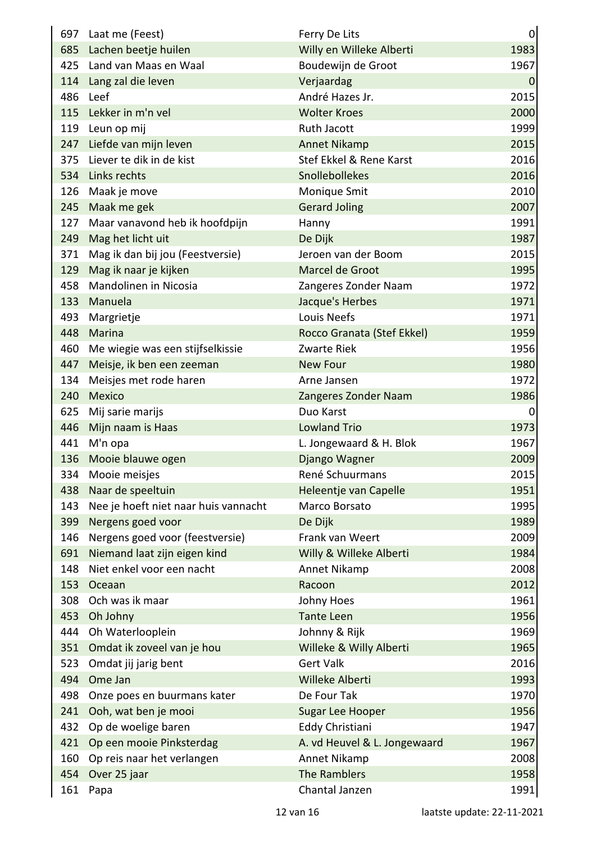|     | 697 Laat me (Feest)                  | Ferry De Lits                | 0         |
|-----|--------------------------------------|------------------------------|-----------|
|     | 685 Lachen beetje huilen             | Willy en Willeke Alberti     | 1983      |
|     | 425 Land van Maas en Waal            | Boudewijn de Groot           | 1967      |
|     | 114 Lang zal die leven               | Verjaardag                   | $\pmb{0}$ |
| 486 | Leef                                 | André Hazes Jr.              | 2015      |
|     | 115 Lekker in m'n vel                | <b>Wolter Kroes</b>          | 2000      |
| 119 | Leun op mij                          | Ruth Jacott                  | 1999      |
| 247 | Liefde van mijn leven                | <b>Annet Nikamp</b>          | 2015      |
| 375 | Liever te dik in de kist             | Stef Ekkel & Rene Karst      | 2016      |
|     | 534 Links rechts                     | Snollebollekes               | 2016      |
| 126 | Maak je move                         | Monique Smit                 | 2010      |
|     | 245 Maak me gek                      | <b>Gerard Joling</b>         | 2007      |
|     | 127 Maar vanavond heb ik hoofdpijn   | Hanny                        | 1991      |
| 249 | Mag het licht uit                    | De Dijk                      | 1987      |
| 371 | Mag ik dan bij jou (Feestversie)     | Jeroen van der Boom          | 2015      |
| 129 | Mag ik naar je kijken                | Marcel de Groot              | 1995      |
| 458 | Mandolinen in Nicosia                | Zangeres Zonder Naam         | 1972      |
| 133 | Manuela                              | Jacque's Herbes              | 1971      |
| 493 | Margrietje                           | Louis Neefs                  | 1971      |
|     | 448 Marina                           | Rocco Granata (Stef Ekkel)   | 1959      |
| 460 | Me wiegie was een stijfselkissie     | Zwarte Riek                  | 1956      |
| 447 | Meisje, ik ben een zeeman            | <b>New Four</b>              | 1980      |
| 134 | Meisjes met rode haren               | Arne Jansen                  | 1972      |
| 240 | <b>Mexico</b>                        | Zangeres Zonder Naam         | 1986      |
| 625 | Mij sarie marijs                     | Duo Karst                    | 0         |
| 446 | Mijn naam is Haas                    | <b>Lowland Trio</b>          | 1973      |
| 441 | M'n opa                              | L. Jongewaard & H. Blok      | 1967      |
| 136 | Mooie blauwe ogen                    | Django Wagner                | 2009      |
| 334 | Mooie meisjes                        | René Schuurmans              | 2015      |
| 438 | Naar de speeltuin                    | Heleentje van Capelle        | 1951      |
| 143 | Nee je hoeft niet naar huis vannacht | Marco Borsato                | 1995      |
| 399 | Nergens goed voor                    | De Dijk                      | 1989      |
| 146 | Nergens goed voor (feestversie)      | Frank van Weert              | 2009      |
| 691 | Niemand laat zijn eigen kind         | Willy & Willeke Alberti      | 1984      |
| 148 | Niet enkel voor een nacht            | Annet Nikamp                 | 2008      |
| 153 | Oceaan                               | Racoon                       | 2012      |
| 308 | Och was ik maar                      | Johny Hoes                   | 1961      |
| 453 | Oh Johny                             | <b>Tante Leen</b>            | 1956      |
| 444 | Oh Waterlooplein                     | Johnny & Rijk                | 1969      |
| 351 | Omdat ik zoveel van je hou           | Willeke & Willy Alberti      | 1965      |
| 523 | Omdat jij jarig bent                 | <b>Gert Valk</b>             | 2016      |
| 494 | Ome Jan                              | Willeke Alberti              | 1993      |
| 498 | Onze poes en buurmans kater          | De Four Tak                  | 1970      |
| 241 | Ooh, wat ben je mooi                 | Sugar Lee Hooper             | 1956      |
| 432 | Op de woelige baren                  | Eddy Christiani              | 1947      |
| 421 | Op een mooie Pinksterdag             | A. vd Heuvel & L. Jongewaard | 1967      |
| 160 | Op reis naar het verlangen           | Annet Nikamp                 | 2008      |
| 454 | Over 25 jaar                         | The Ramblers                 | 1958      |
| 161 | Papa                                 | Chantal Janzen               | 1991      |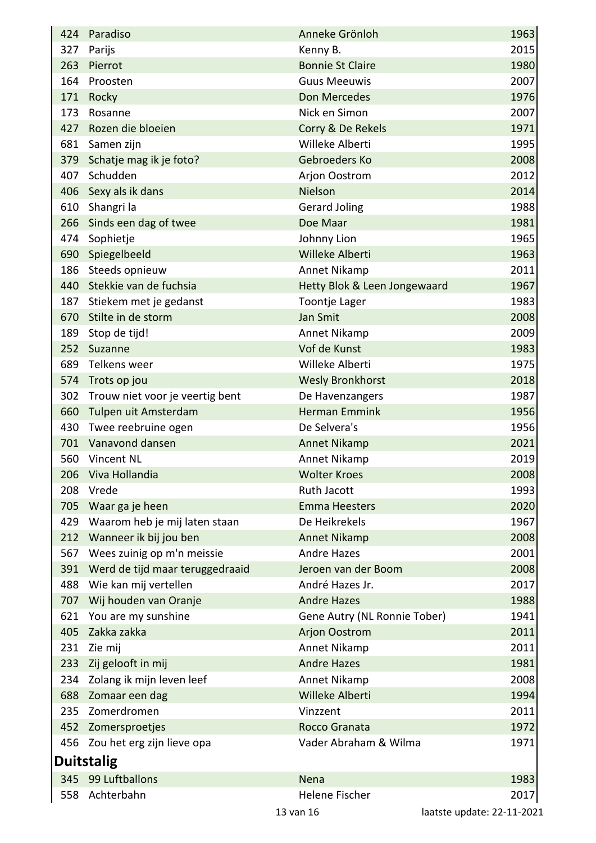|     | 424 Paradiso                        | Anneke Grönloh               | 1963                       |
|-----|-------------------------------------|------------------------------|----------------------------|
| 327 | Parijs                              | Kenny B.                     | 2015                       |
| 263 | Pierrot                             | <b>Bonnie St Claire</b>      | 1980                       |
|     | 164 Proosten                        | <b>Guus Meeuwis</b>          | 2007                       |
|     | 171 Rocky                           | Don Mercedes                 | 1976                       |
| 173 | Rosanne                             | Nick en Simon                | 2007                       |
|     | 427 Rozen die bloeien               | Corry & De Rekels            | 1971                       |
|     | 681 Samen zijn                      | Willeke Alberti              | 1995                       |
| 379 | Schatje mag ik je foto?             | Gebroeders Ko                | 2008                       |
| 407 | Schudden                            | Arjon Oostrom                | 2012                       |
|     | 406 Sexy als ik dans                | Nielson                      | 2014                       |
| 610 | Shangri la                          | <b>Gerard Joling</b>         | 1988                       |
|     | 266 Sinds een dag of twee           | Doe Maar                     | 1981                       |
| 474 | Sophietje                           | Johnny Lion                  | 1965                       |
|     | 690 Spiegelbeeld                    | Willeke Alberti              | 1963                       |
|     | 186 Steeds opnieuw                  | Annet Nikamp                 | 2011                       |
|     | 440 Stekkie van de fuchsia          | Hetty Blok & Leen Jongewaard | 1967                       |
| 187 | Stiekem met je gedanst              | Toontje Lager                | 1983                       |
| 670 | Stilte in de storm                  | Jan Smit                     | 2008                       |
|     | 189 Stop de tijd!                   | Annet Nikamp                 | 2009                       |
|     | 252 Suzanne                         | Vof de Kunst                 | 1983                       |
|     | 689 Telkens weer                    | Willeke Alberti              | 1975                       |
|     | 574 Trots op jou                    | <b>Wesly Bronkhorst</b>      | 2018                       |
| 302 | Trouw niet voor je veertig bent     | De Havenzangers              | 1987                       |
|     | 660 Tulpen uit Amsterdam            | <b>Herman Emmink</b>         | 1956                       |
|     | 430 Twee reebruine ogen             | De Selvera's                 | 1956                       |
|     | 701 Vanavond dansen                 | <b>Annet Nikamp</b>          | 2021                       |
|     | 560 Vincent NL                      | Annet Nikamp                 | 2019                       |
|     | 206 Viva Hollandia                  | <b>Wolter Kroes</b>          | 2008                       |
| 208 | Vrede                               | <b>Ruth Jacott</b>           | 1993                       |
|     | 705 Waar ga je heen                 | <b>Emma Heesters</b>         | 2020                       |
|     | 429 Waarom heb je mij laten staan   | De Heikrekels                | 1967                       |
|     | 212 Wanneer ik bij jou ben          | <b>Annet Nikamp</b>          | 2008                       |
| 567 | Wees zuinig op m'n meissie          | <b>Andre Hazes</b>           | 2001                       |
|     | 391 Werd de tijd maar teruggedraaid | Jeroen van der Boom          | 2008                       |
|     | 488 Wie kan mij vertellen           | André Hazes Jr.              | 2017                       |
|     | 707 Wij houden van Oranje           | <b>Andre Hazes</b>           | 1988                       |
| 621 | You are my sunshine                 | Gene Autry (NL Ronnie Tober) | 1941                       |
| 405 | Zakka zakka                         | <b>Arjon Oostrom</b>         | 2011                       |
| 231 | Zie mij                             | Annet Nikamp                 | 2011                       |
| 233 | Zij gelooft in mij                  | <b>Andre Hazes</b>           | 1981                       |
| 234 | Zolang ik mijn leven leef           | Annet Nikamp                 | 2008                       |
| 688 | Zomaar een dag                      | Willeke Alberti              | 1994                       |
|     | 235 Zomerdromen                     | Vinzzent                     | 2011                       |
|     | 452 Zomersproetjes                  | Rocco Granata                | 1972                       |
|     | 456 Zou het erg zijn lieve opa      | Vader Abraham & Wilma        | 1971                       |
|     | <b>Duitstalig</b>                   |                              |                            |
| 345 | 99 Luftballons                      | Nena                         | 1983                       |
|     | 558 Achterbahn                      | Helene Fischer               | 2017                       |
|     |                                     | 13 van 16                    | laatste update: 22-11-2021 |
|     |                                     |                              |                            |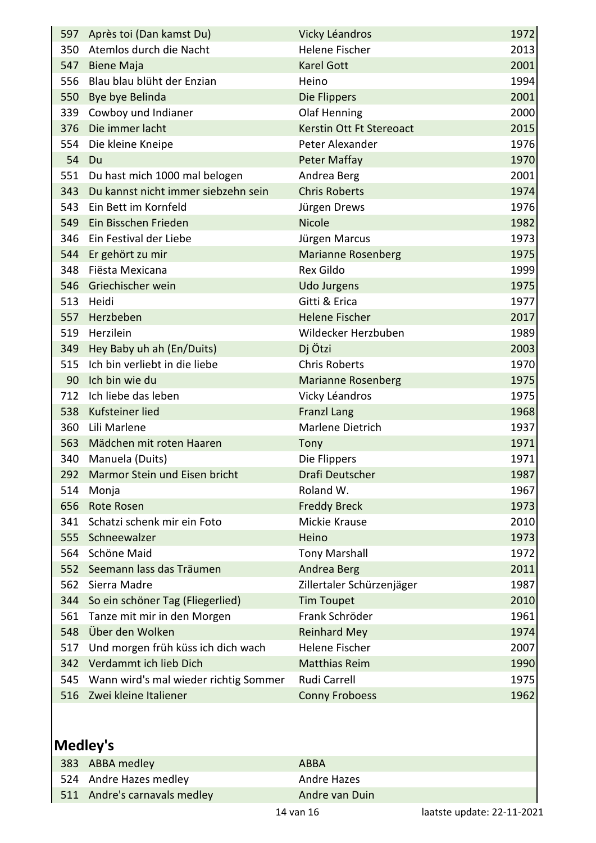|     | 597 Après toi (Dan kamst Du)            | Vicky Léandros            | 1972 |
|-----|-----------------------------------------|---------------------------|------|
|     | 350 Atemlos durch die Nacht             | Helene Fischer            | 2013 |
|     | 547 Biene Maja                          | <b>Karel Gott</b>         | 2001 |
|     | 556 Blau blau blüht der Enzian          | Heino                     | 1994 |
|     | 550 Bye bye Belinda                     | Die Flippers              | 2001 |
| 339 | Cowboy und Indianer                     | Olaf Henning              | 2000 |
|     | 376 Die immer lacht                     | Kerstin Ott Ft Stereoact  | 2015 |
|     | 554 Die kleine Kneipe                   | Peter Alexander           | 1976 |
| 54  | Du                                      | <b>Peter Maffay</b>       | 1970 |
|     | 551 Du hast mich 1000 mal belogen       | Andrea Berg               | 2001 |
|     | 343 Du kannst nicht immer siebzehn sein | <b>Chris Roberts</b>      | 1974 |
|     | 543 Ein Bett im Kornfeld                | Jürgen Drews              | 1976 |
|     | 549 Ein Bisschen Frieden                | <b>Nicole</b>             | 1982 |
|     | 346 Ein Festival der Liebe              | Jürgen Marcus             | 1973 |
|     | 544 Er gehört zu mir                    | <b>Marianne Rosenberg</b> | 1975 |
|     | 348 Fiësta Mexicana                     | Rex Gildo                 | 1999 |
|     | 546 Griechischer wein                   | <b>Udo Jurgens</b>        | 1975 |
|     | 513 Heidi                               | Gitti & Erica             | 1977 |
|     | 557 Herzbeben                           | <b>Helene Fischer</b>     | 2017 |
|     | 519 Herzilein                           | Wildecker Herzbuben       | 1989 |
|     | 349 Hey Baby uh ah (En/Duits)           | Dj Ötzi                   | 2003 |
| 515 | Ich bin verliebt in die liebe           | <b>Chris Roberts</b>      | 1970 |
|     | 90 Ich bin wie du                       | <b>Marianne Rosenberg</b> | 1975 |
|     | 712 Ich liebe das leben                 | Vicky Léandros            | 1975 |
|     | 538 Kufsteiner lied                     | <b>Franzl Lang</b>        | 1968 |
|     | 360 Lili Marlene                        | Marlene Dietrich          | 1937 |
|     | 563 Mädchen mit roten Haaren            | Tony                      | 1971 |
|     | 340 Manuela (Duits)                     | Die Flippers              | 1971 |
|     | 292 Marmor Stein und Eisen bricht       | Drafi Deutscher           | 1987 |
| 514 | Monja                                   | Roland W.                 | 1967 |
| 656 | <b>Rote Rosen</b>                       | <b>Freddy Breck</b>       | 1973 |
| 341 | Schatzi schenk mir ein Foto             | Mickie Krause             | 2010 |
| 555 | Schneewalzer                            | Heino                     | 1973 |
| 564 | Schöne Maid                             | <b>Tony Marshall</b>      | 1972 |
| 552 | Seemann lass das Träumen                | Andrea Berg               | 2011 |
| 562 | Sierra Madre                            | Zillertaler Schürzenjäger | 1987 |
| 344 | So ein schöner Tag (Fliegerlied)        | <b>Tim Toupet</b>         | 2010 |
| 561 | Tanze mit mir in den Morgen             | Frank Schröder            | 1961 |
| 548 | Über den Wolken                         | <b>Reinhard Mey</b>       | 1974 |
| 517 | Und morgen früh küss ich dich wach      | <b>Helene Fischer</b>     | 2007 |
| 342 | Verdammt ich lieb Dich                  | <b>Matthias Reim</b>      | 1990 |
| 545 | Wann wird's mal wieder richtig Sommer   | Rudi Carrell              | 1975 |
| 516 | Zwei kleine Italiener                   | <b>Conny Froboess</b>     | 1962 |
|     |                                         |                           |      |

## **Medley's**

| 383 ABBA medley              | ABBA           |  |
|------------------------------|----------------|--|
| 524 Andre Hazes medley       | Andre Hazes    |  |
| 511 Andre's carnavals medley | Andre van Duin |  |
|                              |                |  |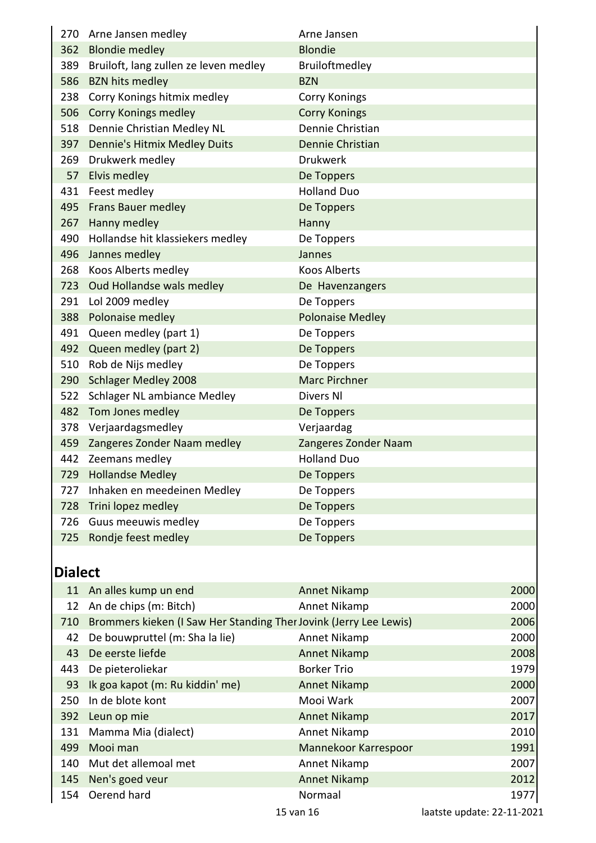| 270 Arne Jansen medley                    | Arne Jansen             |
|-------------------------------------------|-------------------------|
| 362 Blondie medley                        | <b>Blondie</b>          |
| 389 Bruiloft, lang zullen ze leven medley | Bruiloftmedley          |
| 586 BZN hits medley                       | <b>BZN</b>              |
| 238 Corry Konings hitmix medley           | <b>Corry Konings</b>    |
| 506 Corry Konings medley                  | <b>Corry Konings</b>    |
| 518 Dennie Christian Medley NL            | Dennie Christian        |
| 397 Dennie's Hitmix Medley Duits          | Dennie Christian        |
| 269 Drukwerk medley                       | <b>Drukwerk</b>         |
| 57 Elvis medley                           | De Toppers              |
| 431 Feest medley                          | <b>Holland Duo</b>      |
| 495 Frans Bauer medley                    | De Toppers              |
| 267 Hanny medley                          | Hanny                   |
| 490 Hollandse hit klassiekers medley      | De Toppers              |
| 496 Jannes medley                         | Jannes                  |
| 268 Koos Alberts medley                   | <b>Koos Alberts</b>     |
| 723 Oud Hollandse wals medley             | De Havenzangers         |
| 291 Lol 2009 medley                       | De Toppers              |
| 388 Polonaise medley                      | <b>Polonaise Medley</b> |
| 491 Queen medley (part 1)                 | De Toppers              |
| 492 Queen medley (part 2)                 | De Toppers              |
| 510 Rob de Nijs medley                    | De Toppers              |
| 290 Schlager Medley 2008                  | <b>Marc Pirchner</b>    |
| 522 Schlager NL ambiance Medley           | Divers NI               |
| 482 Tom Jones medley                      | De Toppers              |
| 378 Verjaardagsmedley                     | Verjaardag              |
| 459 Zangeres Zonder Naam medley           | Zangeres Zonder Naam    |
| 442 Zeemans medley                        | <b>Holland Duo</b>      |
| 729 Hollandse Medley                      | De Toppers              |
| 727 Inhaken en meedeinen Medley           | De Toppers              |
| 728 Trini lopez medley                    | De Toppers              |
| 726 Guus meeuwis medley                   | De Toppers              |
| 725 Rondje feest medley                   | De Toppers              |

## **Dialect**

|            | 11 An alles kump un end                                           | Annet Nikamp         | 2000 |
|------------|-------------------------------------------------------------------|----------------------|------|
| 12         | An de chips (m: Bitch)                                            | Annet Nikamp         | 2000 |
| 710        | Brommers kieken (I Saw Her Standing Ther Jovink (Jerry Lee Lewis) |                      | 2006 |
| 42         | De bouwpruttel (m: Sha la lie)                                    | Annet Nikamp         | 2000 |
| 43         | De eerste liefde                                                  | Annet Nikamp         | 2008 |
| 443        | De pieteroliekar                                                  | <b>Borker Trio</b>   | 1979 |
| 93         | Ik goa kapot (m: Ru kiddin' me)                                   | <b>Annet Nikamp</b>  | 2000 |
| 250        | In de blote kont                                                  | Mooi Wark            | 2007 |
| <b>392</b> | Leun op mie                                                       | Annet Nikamp         | 2017 |
| 131        | Mamma Mia (dialect)                                               | Annet Nikamp         | 2010 |
| 499        | Mooi man                                                          | Mannekoor Karrespoor | 1991 |
| 140        | Mut det allemoal met                                              | Annet Nikamp         | 2007 |
| 145        | Nen's goed veur                                                   | Annet Nikamp         | 2012 |
| 154        | Oerend hard                                                       | Normaal              | 1977 |
|            |                                                                   | .                    |      |